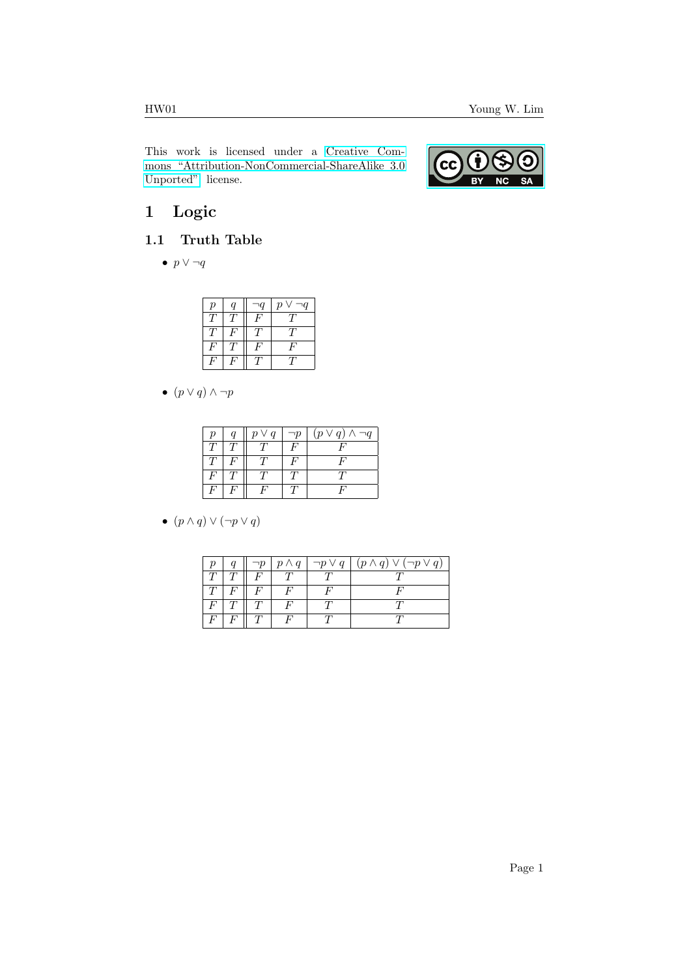This work is licensed under a [Creative Com](https://creativecommons.org/licenses/by-nc-sa/3.0/deed.en)[mons "Attribution-NonCommercial-ShareAlike 3.0](https://creativecommons.org/licenses/by-nc-sa/3.0/deed.en) [Unported"](https://creativecommons.org/licenses/by-nc-sa/3.0/deed.en) license.



# 1 Logic

#### 1.1 Truth Table

•  $p \vee \neg q$ 

| $\boldsymbol{p}$ | $\boldsymbol{q}$ | $\overline{q}$ | $\boldsymbol{p}$<br>$\overline{q}$ |
|------------------|------------------|----------------|------------------------------------|
|                  | Τ                | H              |                                    |
|                  | ù.               |                |                                    |
| F                |                  | Η,             | H                                  |
| 4                | u.               |                |                                    |

•  $(p \vee q) \wedge \neg p$ 

| $\boldsymbol{\eta}$ | $p \vee q$ | $\neg p$ | $(p \vee q) \wedge \neg q$ |
|---------------------|------------|----------|----------------------------|
|                     |            | F        |                            |
|                     |            |          |                            |
| F                   |            |          |                            |
|                     |            |          |                            |

•  $(p \wedge q) \vee (\neg p \vee q)$ 

| $\boldsymbol{\eta}$ |   | $\neg p$ |  | $\mid p \wedge q \mid \neg p \vee q \mid (p \wedge q) \vee (\neg p \vee q)$ |
|---------------------|---|----------|--|-----------------------------------------------------------------------------|
|                     |   |          |  |                                                                             |
|                     | F |          |  |                                                                             |
|                     |   |          |  |                                                                             |
|                     | F |          |  |                                                                             |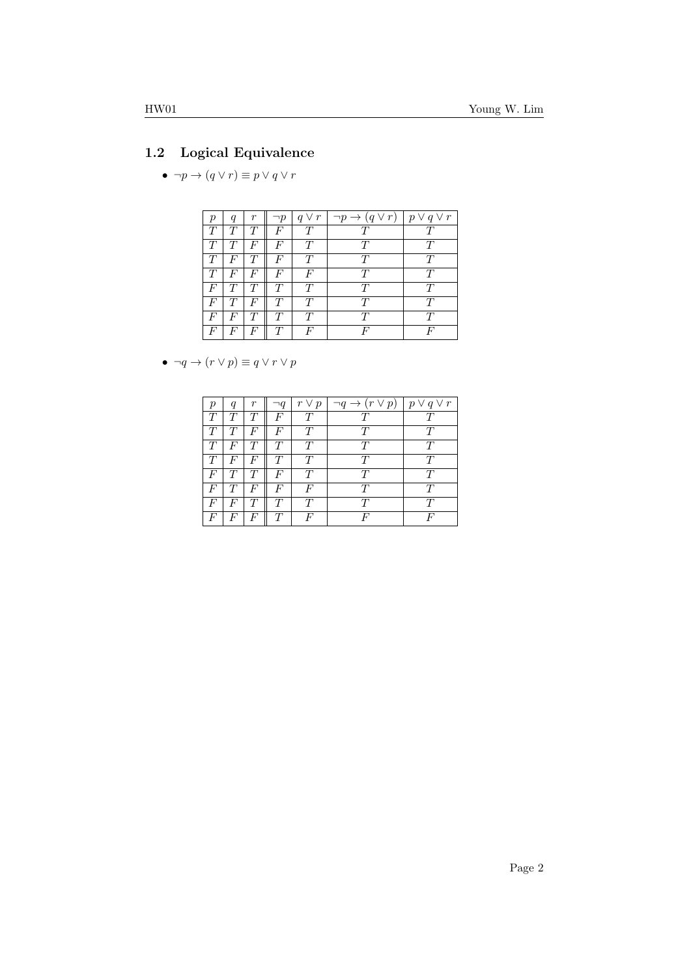## 1.2 Logical Equivalence

 $\bullet \ \neg p \rightarrow (q \vee r) \equiv p \vee q \vee r$ 

|       | q      | r | $\neg p$ | $q \vee r$ | $\neg p \rightarrow (q \vee r)$ | $p \vee q \vee r$ |
|-------|--------|---|----------|------------|---------------------------------|-------------------|
| T     | T      | T | F        | T          | T                               |                   |
| T     | $\tau$ | F | F        | T          | T                               |                   |
| T     | F      | T | F        | T          | T                               | Ŧ                 |
| T     | F      | F | F        | F          | T                               | T                 |
| $\,F$ | T      | T | T        | T          | T                               | T                 |
| F     | T      | F | T        | T          | T                               | T                 |
| F     | F      | T | T        | T          | T                               | T                 |
| F     | F      | F | T        | F          | F                               |                   |

•  $\neg q \rightarrow (r \vee p) \equiv q \vee r \vee p$ 

|   | q | r                | $\neg q$ | $r \vee p$       | $\neg q \rightarrow (r \vee p)$ | $p \vee q \vee r$ |
|---|---|------------------|----------|------------------|---------------------------------|-------------------|
| T | T | T                | F        | T                | T                               |                   |
| T | T | F                | F        | T                | T                               | T                 |
| T | F | T                | T        | T                | T                               | T                 |
| T | F | $\boldsymbol{F}$ | T        | T                | T                               | T                 |
| F | T | T                | F        | T                | T                               | T                 |
| F | T | F                | F        | $\boldsymbol{F}$ | T                               |                   |
| F | F | T                |          | T                | T                               | T                 |
| F | F | $\,F$            |          | F                | H                               |                   |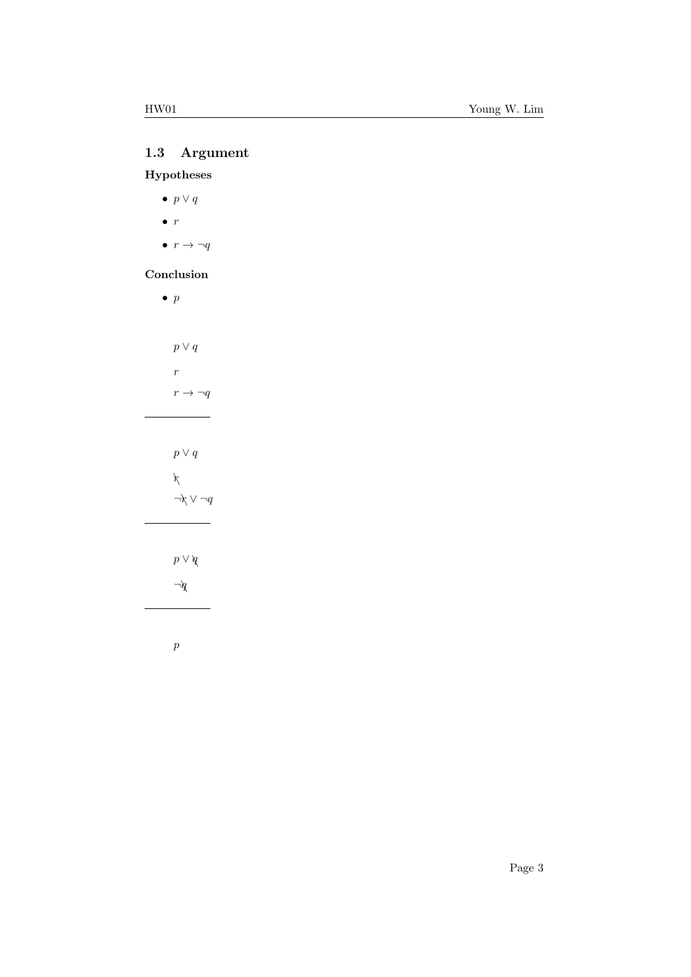# 1.3 Argument

### Hypotheses

- $p \vee q$
- $\bullet$  r
- $\bullet$   $r \rightarrow \neg q$

#### Conclusion

| $\bullet\ p$               |
|----------------------------|
|                            |
| $p\vee q$                  |
| $\boldsymbol{r}$           |
| $r \rightarrow \neg q$     |
|                            |
|                            |
| $p\vee q$                  |
| $\chi$                     |
| $\neg\uparrow \vee \neg q$ |
|                            |
|                            |
| $p \vee q$<br>$\forall$    |
|                            |
|                            |

p